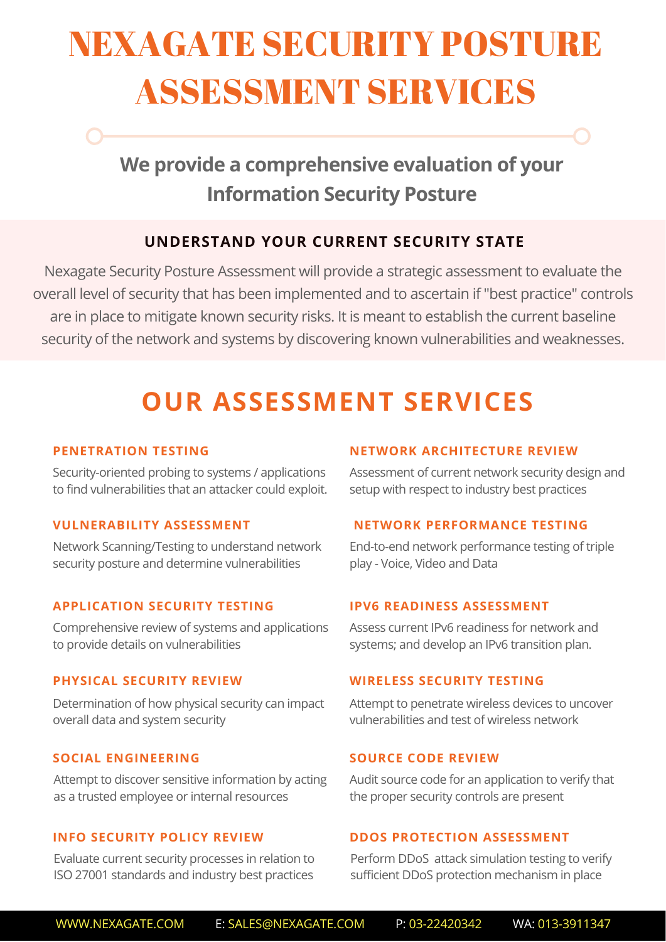# NEXAGATE SECURITY POSTURE ASSESSMENT SERVICES

## **We provide a comprehensive evaluation of your Information Security Posture**

## **UNDERSTAND YOUR CURRENT SECURITY STATE**

Nexagate Security Posture Assessment will provide a strategic assessment to evaluate the overall level of security that has been implemented and to ascertain if "best practice" controls are in place to mitigate known security risks. It is meant to establish the current baseline security of the network and systems by discovering known vulnerabilities and weaknesses.

## **OUR ASSESSMENT SERVICES**

#### **PENETRATION TESTING**

Security-oriented probing to systems / applications to find vulnerabilities that an attacker could exploit.

#### **VULNERABILITY ASSESSMENT**

Network Scanning/Testing to understand network security posture and determine vulnerabilities

#### **APPLICATION SECURITY TESTING**

Comprehensive review of systems and applications to provide details on vulnerabilities

#### **PHYSICAL SECURITY REVIEW**

Determination of how physical security can impact overall data and system security

#### **SOCIAL ENGINEERING**

Attempt to discover sensitive information by acting as a trusted employee or internal resources

#### **INFO SECURITY POLICY REVIEW**

Evaluate current security processes in relation to ISO 27001 standards and industry best practices

#### **NETWORK ARCHITECTURE REVIEW**

Assessment of current network security design and setup with respect to industry best practices

#### **NETWORK PERFORMANCE TESTING**

End-to-end network performance testing of triple play - Voice, Video and Data

#### **IPV6 READINESS ASSESSMENT**

Assess current IPv6 readiness for network and systems; and develop an IPv6 transition plan.

#### **WIRELESS SECURITY TESTING**

Attempt to penetrate wireless devices to uncover vulnerabilities and test of wireless network

#### **SOURCE CODE REVIEW**

Audit source code for an application to verify that the proper security controls are present

#### **DDOS PROTECTION ASSESSMENT**

Perform DDoS attack simulation testing to verify sufficient DDoS protection mechanism in place